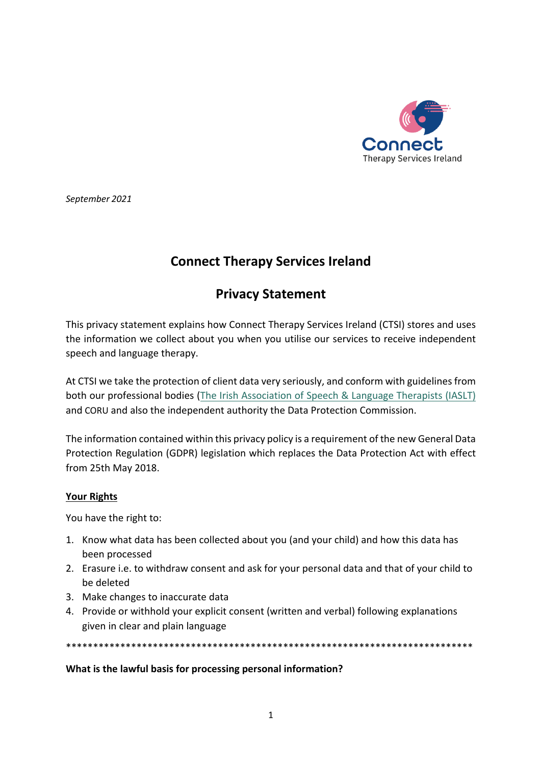

September 2021

# **Connect Therapy Services Ireland**

# **Privacy Statement**

This privacy statement explains how Connect Therapy Services Ireland (CTSI) stores and uses the information we collect about you when you utilise our services to receive independent speech and language therapy.

At CTSI we take the protection of client data very seriously, and conform with guidelines from both our professional bodies (The Irish Association of Speech & Language Therapists (IASLT) and CORU and also the independent authority the Data Protection Commission.

The information contained within this privacy policy is a requirement of the new General Data Protection Regulation (GDPR) legislation which replaces the Data Protection Act with effect from 25th May 2018.

## **Your Rights**

You have the right to:

- 1. Know what data has been collected about you (and your child) and how this data has been processed
- 2. Erasure i.e. to withdraw consent and ask for your personal data and that of your child to be deleted
- 3. Make changes to inaccurate data
- 4. Provide or withhold your explicit consent (written and verbal) following explanations given in clear and plain language

\*\*\*\*\*\*\*\*\*\*\*\*\*\*\*\*\*\*\*\*\*\*\*\*\*

## What is the lawful basis for processing personal information?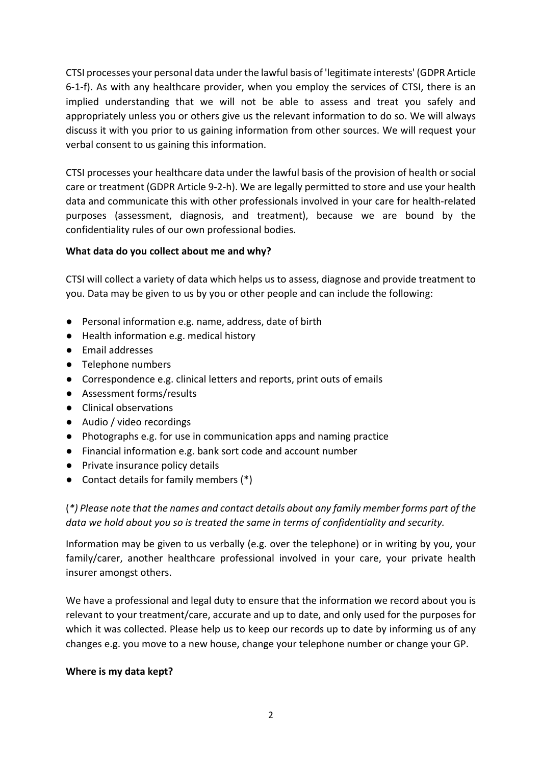CTSI processes your personal data under the lawful basis of 'legitimate interests' (GDPR Article 6-1-f). As with any healthcare provider, when you employ the services of CTSI, there is an implied understanding that we will not be able to assess and treat you safely and appropriately unless you or others give us the relevant information to do so. We will always discuss it with you prior to us gaining information from other sources. We will request your verbal consent to us gaining this information.

CTSI processes your healthcare data under the lawful basis of the provision of health or social care or treatment (GDPR Article 9-2-h). We are legally permitted to store and use your health data and communicate this with other professionals involved in your care for health-related purposes (assessment, diagnosis, and treatment), because we are bound by the confidentiality rules of our own professional bodies.

## **What data do you collect about me and why?**

CTSI will collect a variety of data which helps us to assess, diagnose and provide treatment to you. Data may be given to us by you or other people and can include the following:

- Personal information e.g. name, address, date of birth
- Health information e.g. medical history
- Email addresses
- Telephone numbers
- Correspondence e.g. clinical letters and reports, print outs of emails
- Assessment forms/results
- Clinical observations
- Audio / video recordings
- Photographs e.g. for use in communication apps and naming practice
- Financial information e.g. bank sort code and account number
- Private insurance policy details
- Contact details for family members (\*)

(*\*) Please note that the names and contact details about any family member forms part of the data we hold about you so is treated the same in terms of confidentiality and security.* 

Information may be given to us verbally (e.g. over the telephone) or in writing by you, your family/carer, another healthcare professional involved in your care, your private health insurer amongst others.

We have a professional and legal duty to ensure that the information we record about you is relevant to your treatment/care, accurate and up to date, and only used for the purposes for which it was collected. Please help us to keep our records up to date by informing us of any changes e.g. you move to a new house, change your telephone number or change your GP.

## **Where is my data kept?**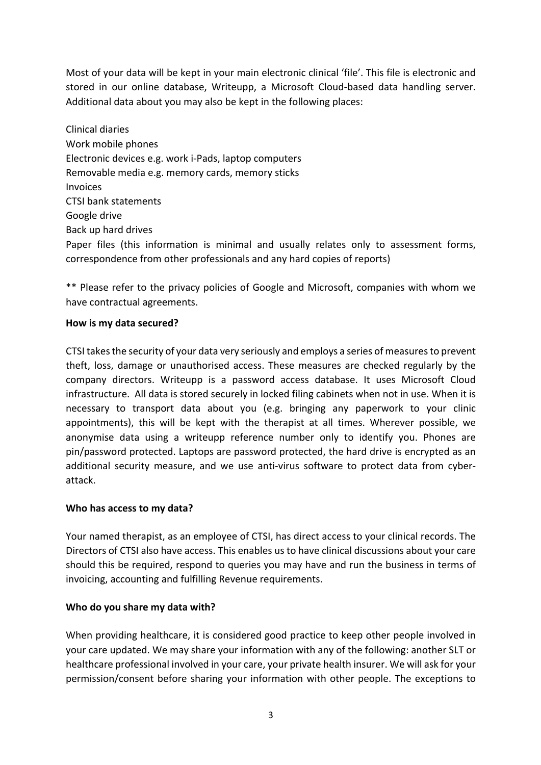Most of your data will be kept in your main electronic clinical 'file'. This file is electronic and stored in our online database, Writeupp, a Microsoft Cloud-based data handling server. Additional data about you may also be kept in the following places:

Clinical diaries Work mobile phones Electronic devices e.g. work i-Pads, laptop computers Removable media e.g. memory cards, memory sticks Invoices CTSI bank statements Google drive Back up hard drives Paper files (this information is minimal and usually relates only to assessment forms, correspondence from other professionals and any hard copies of reports)

\*\* Please refer to the privacy policies of Google and Microsoft, companies with whom we have contractual agreements.

#### **How is my data secured?**

CTSI takes the security of your data very seriously and employs a series of measures to prevent theft, loss, damage or unauthorised access. These measures are checked regularly by the company directors. Writeupp is a password access database. It uses Microsoft Cloud infrastructure. All data is stored securely in locked filing cabinets when not in use. When it is necessary to transport data about you (e.g. bringing any paperwork to your clinic appointments), this will be kept with the therapist at all times. Wherever possible, we anonymise data using a writeupp reference number only to identify you. Phones are pin/password protected. Laptops are password protected, the hard drive is encrypted as an additional security measure, and we use anti-virus software to protect data from cyberattack.

## **Who has access to my data?**

Your named therapist, as an employee of CTSI, has direct access to your clinical records. The Directors of CTSI also have access. This enables us to have clinical discussions about your care should this be required, respond to queries you may have and run the business in terms of invoicing, accounting and fulfilling Revenue requirements.

## **Who do you share my data with?**

When providing healthcare, it is considered good practice to keep other people involved in your care updated. We may share your information with any of the following: another SLT or healthcare professional involved in your care, your private health insurer. We will ask for your permission/consent before sharing your information with other people. The exceptions to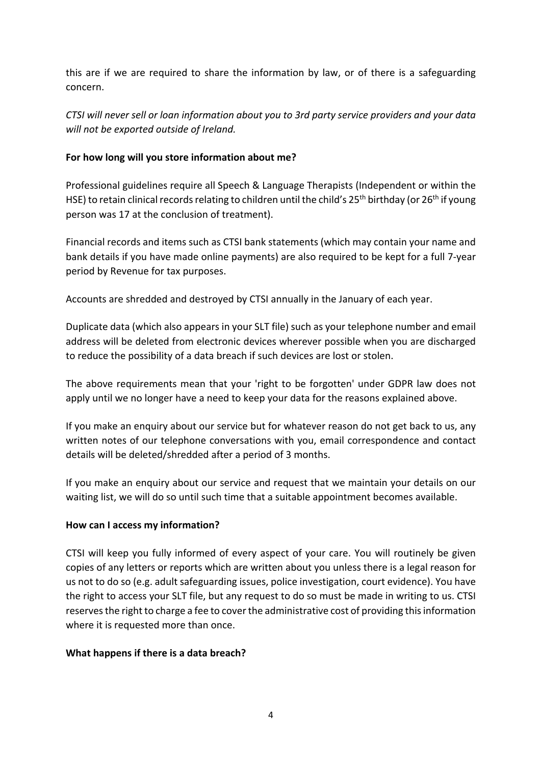this are if we are required to share the information by law, or of there is a safeguarding concern.

*CTSI will never sell or loan information about you to 3rd party service providers and your data will not be exported outside of Ireland.*

## **For how long will you store information about me?**

Professional guidelines require all Speech & Language Therapists (Independent or within the HSE) to retain clinical records relating to children until the child's 25<sup>th</sup> birthday (or 26<sup>th</sup> if young person was 17 at the conclusion of treatment).

Financial records and items such as CTSI bank statements (which may contain your name and bank details if you have made online payments) are also required to be kept for a full 7-year period by Revenue for tax purposes.

Accounts are shredded and destroyed by CTSI annually in the January of each year.

Duplicate data (which also appears in your SLT file) such as your telephone number and email address will be deleted from electronic devices wherever possible when you are discharged to reduce the possibility of a data breach if such devices are lost or stolen.

The above requirements mean that your 'right to be forgotten' under GDPR law does not apply until we no longer have a need to keep your data for the reasons explained above.

If you make an enquiry about our service but for whatever reason do not get back to us, any written notes of our telephone conversations with you, email correspondence and contact details will be deleted/shredded after a period of 3 months.

If you make an enquiry about our service and request that we maintain your details on our waiting list, we will do so until such time that a suitable appointment becomes available.

## **How can I access my information?**

CTSI will keep you fully informed of every aspect of your care. You will routinely be given copies of any letters or reports which are written about you unless there is a legal reason for us not to do so (e.g. adult safeguarding issues, police investigation, court evidence). You have the right to access your SLT file, but any request to do so must be made in writing to us. CTSI reserves the right to charge a fee to cover the administrative cost of providing this information where it is requested more than once.

## **What happens if there is a data breach?**